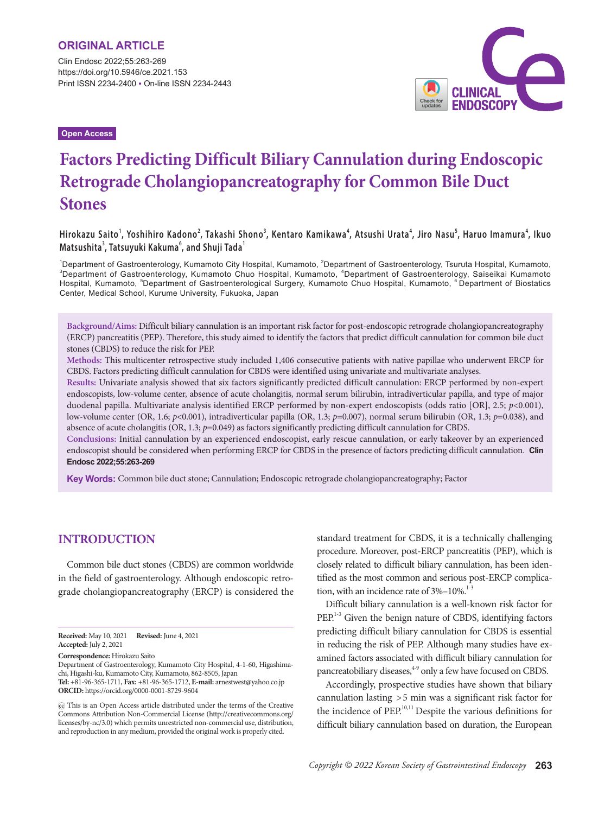Clin Endosc 2022;55:263-269 https://doi.org/10.5946/ce.2021.153 Print ISSN 2234-2400 • On-line ISSN 2234-2443

**Open Access**



# **Factors Predicting Difficult Biliary Cannulation during Endoscopic Retrograde Cholangiopancreatography for Common Bile Duct Stones**

Hirokazu Saito<sup>1</sup>, Yoshihiro Kadono<sup>2</sup>, Takashi Shono<sup>3</sup>, Kentaro Kamikawa<sup>4</sup>, Atsushi Urata<sup>4</sup>, Jiro Nasu<sup>s</sup>, Haruo Imamura<sup>4</sup>, Ikuo **Matsushita<sup>3</sup> , Tatsuyuki Kakuma<sup>6</sup> , and Shuji Tada<sup>1</sup>**

<sup>1</sup>Department of Gastroenterology, Kumamoto City Hospital, Kumamoto, <sup>2</sup>Department of Gastroenterology, Tsuruta Hospital, Kumamoto,<br><sup>3</sup>Department of Gastroenterology, Kumamoto Chuo Hospital, Kumamoto, <sup>4</sup>Department of Gast Department of Gastroenterology, Kumamoto Chuo Hospital, Kumamoto, <sup>4</sup>Department of Gastroenterology, Saiseikai Kumamoto Hospital, Kumamoto, <sup>5</sup>Department of Gastroenterological Surgery, Kumamoto Chuo Hospital, Kumamoto, <sup>6</sup>Department of Biostatics Center, Medical School, Kurume University, Fukuoka, Japan

**Background/Aims:** Difficult biliary cannulation is an important risk factor for post-endoscopic retrograde cholangiopancreatography (ERCP) pancreatitis (PEP). Therefore, this study aimed to identify the factors that predict difficult cannulation for common bile duct stones (CBDS) to reduce the risk for PEP.

**Methods:** This multicenter retrospective study included 1,406 consecutive patients with native papillae who underwent ERCP for CBDS. Factors predicting difficult cannulation for CBDS were identified using univariate and multivariate analyses.

**Results:** Univariate analysis showed that six factors significantly predicted difficult cannulation: ERCP performed by non-expert endoscopists, low-volume center, absence of acute cholangitis, normal serum bilirubin, intradiverticular papilla, and type of major duodenal papilla. Multivariate analysis identified ERCP performed by non-expert endoscopists (odds ratio [OR], 2.5; *p*<0.001), low-volume center (OR, 1.6; *p*<0.001), intradiverticular papilla (OR, 1.3; *p*=0.007), normal serum bilirubin (OR, 1.3; *p*=0.038), and absence of acute cholangitis (OR, 1.3; *p*=0.049) as factors significantly predicting difficult cannulation for CBDS.

**Conclusions:** Initial cannulation by an experienced endoscopist, early rescue cannulation, or early takeover by an experienced endoscopist should be considered when performing ERCP for CBDS in the presence of factors predicting difficult cannulation. **Clin Endosc 2022;55:263-269**

**Key Words:** Common bile duct stone; Cannulation; Endoscopic retrograde cholangiopancreatography; Factor

## **INTRODUCTION**

Common bile duct stones (CBDS) are common worldwide in the field of gastroenterology. Although endoscopic retrograde cholangiopancreatography (ERCP) is considered the

**Correspondence:** Hirokazu Saito

standard treatment for CBDS, it is a technically challenging procedure. Moreover, post-ERCP pancreatitis (PEP), which is closely related to difficult biliary cannulation, has been identified as the most common and serious post-ERCP complication, with an incidence rate of  $3\% - 10\%$ .<sup>1-3</sup>

Difficult biliary cannulation is a well-known risk factor for PEP.<sup>1-3</sup> Given the benign nature of CBDS, identifying factors predicting difficult biliary cannulation for CBDS is essential in reducing the risk of PEP. Although many studies have examined factors associated with difficult biliary cannulation for pancreatobiliary diseases,<sup>4-9</sup> only a few have focused on CBDS.

Accordingly, prospective studies have shown that biliary cannulation lasting >5 min was a significant risk factor for the incidence of PEP.<sup>10,11</sup> Despite the various definitions for difficult biliary cannulation based on duration, the European

**Received:** May 10, 2021 **Revised:** June 4, 2021 **Accepted:** July 2, 2021

Department of Gastroenterology, Kumamoto City Hospital, 4-1-60, Higashimachi, Higashi-ku, Kumamoto City, Kumamoto, 862-8505, Japan

**Tel:** +81-96-365-1711, **Fax:** +81-96-365-1712, **E-mail:** arnestwest@yahoo.co.jp **ORCID:** https://orcid.org/0000-0001-8729-9604

This is an Open Access article distributed under the terms of the Creative Commons Attribution Non-Commercial License (http://creativecommons.org/ licenses/by-nc/3.0) which permits unrestricted non-commercial use, distribution, and reproduction in any medium, provided the original work is properly cited.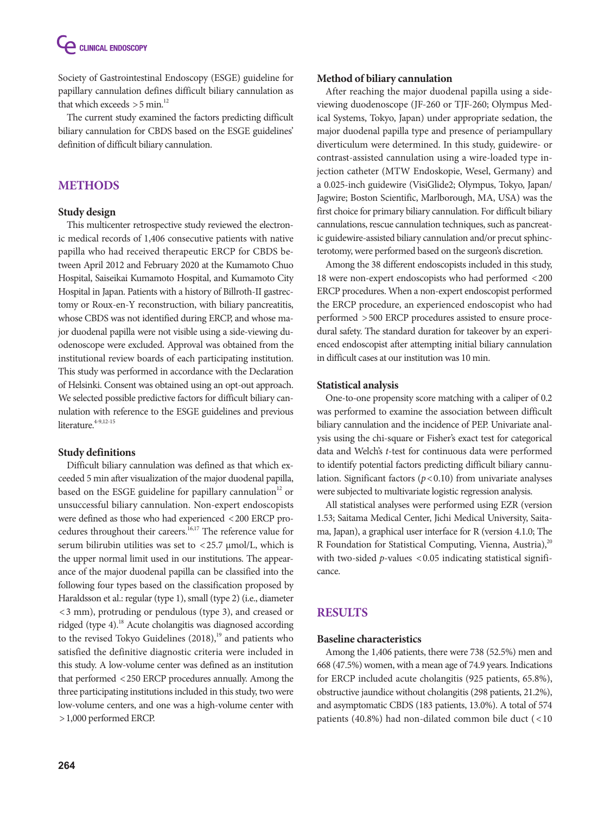**CELINICAL ENDOSCOPY** 

Society of Gastrointestinal Endoscopy (ESGE) guideline for papillary cannulation defines difficult biliary cannulation as that which exceeds  $>$  5 min.<sup>12</sup>

The current study examined the factors predicting difficult biliary cannulation for CBDS based on the ESGE guidelines' definition of difficult biliary cannulation.

## **METHODS**

## **Study design**

This multicenter retrospective study reviewed the electronic medical records of 1,406 consecutive patients with native papilla who had received therapeutic ERCP for CBDS between April 2012 and February 2020 at the Kumamoto Chuo Hospital, Saiseikai Kumamoto Hospital, and Kumamoto City Hospital in Japan. Patients with a history of Billroth-II gastrectomy or Roux-en-Y reconstruction, with biliary pancreatitis, whose CBDS was not identified during ERCP, and whose major duodenal papilla were not visible using a side-viewing duodenoscope were excluded. Approval was obtained from the institutional review boards of each participating institution. This study was performed in accordance with the Declaration of Helsinki. Consent was obtained using an opt-out approach. We selected possible predictive factors for difficult biliary cannulation with reference to the ESGE guidelines and previous literature. $4-9,12-15$ 

#### **Study definitions**

Difficult biliary cannulation was defined as that which exceeded 5 min after visualization of the major duodenal papilla, based on the ESGE guideline for papillary cannulation<sup>12</sup> or unsuccessful biliary cannulation. Non-expert endoscopists were defined as those who had experienced <200 ERCP procedures throughout their careers.<sup>16,17</sup> The reference value for serum bilirubin utilities was set to <25.7 μmol/L, which is the upper normal limit used in our institutions. The appearance of the major duodenal papilla can be classified into the following four types based on the classification proposed by Haraldsson et al.: regular (type 1), small (type 2) (i.e., diameter <3 mm), protruding or pendulous (type 3), and creased or ridged (type 4).18 Acute cholangitis was diagnosed according to the revised Tokyo Guidelines  $(2018),<sup>19</sup>$  and patients who satisfied the definitive diagnostic criteria were included in this study. A low-volume center was defined as an institution that performed <250 ERCP procedures annually. Among the three participating institutions included in this study, two were low-volume centers, and one was a high-volume center with >1,000 performed ERCP.

#### **Method of biliary cannulation**

After reaching the major duodenal papilla using a sideviewing duodenoscope (JF-260 or TJF-260; Olympus Medical Systems, Tokyo, Japan) under appropriate sedation, the major duodenal papilla type and presence of periampullary diverticulum were determined. In this study, guidewire- or contrast-assisted cannulation using a wire-loaded type injection catheter (MTW Endoskopie, Wesel, Germany) and a 0.025-inch guidewire (VisiGlide2; Olympus, Tokyo, Japan/ Jagwire; Boston Scientific, Marlborough, MA, USA) was the first choice for primary biliary cannulation. For difficult biliary cannulations, rescue cannulation techniques, such as pancreatic guidewire-assisted biliary cannulation and/or precut sphincterotomy, were performed based on the surgeon's discretion.

Among the 38 different endoscopists included in this study, 18 were non-expert endoscopists who had performed <200 ERCP procedures. When a non-expert endoscopist performed the ERCP procedure, an experienced endoscopist who had performed >500 ERCP procedures assisted to ensure procedural safety. The standard duration for takeover by an experienced endoscopist after attempting initial biliary cannulation in difficult cases at our institution was 10 min.

#### **Statistical analysis**

One-to-one propensity score matching with a caliper of 0.2 was performed to examine the association between difficult biliary cannulation and the incidence of PEP. Univariate analysis using the chi-square or Fisher's exact test for categorical data and Welch's *t*-test for continuous data were performed to identify potential factors predicting difficult biliary cannulation. Significant factors (*p*<0.10) from univariate analyses were subjected to multivariate logistic regression analysis.

All statistical analyses were performed using EZR (version 1.53; Saitama Medical Center, Jichi Medical University, Saitama, Japan), a graphical user interface for R (version 4.1.0; The R Foundation for Statistical Computing, Vienna, Austria), $^{20}$ with two-sided *p*-values <0.05 indicating statistical significance.

## **RESULTS**

#### **Baseline characteristics**

Among the 1,406 patients, there were 738 (52.5%) men and 668 (47.5%) women, with a mean age of 74.9 years. Indications for ERCP included acute cholangitis (925 patients, 65.8%), obstructive jaundice without cholangitis (298 patients, 21.2%), and asymptomatic CBDS (183 patients, 13.0%). A total of 574 patients (40.8%) had non-dilated common bile duct  $\left($  < 10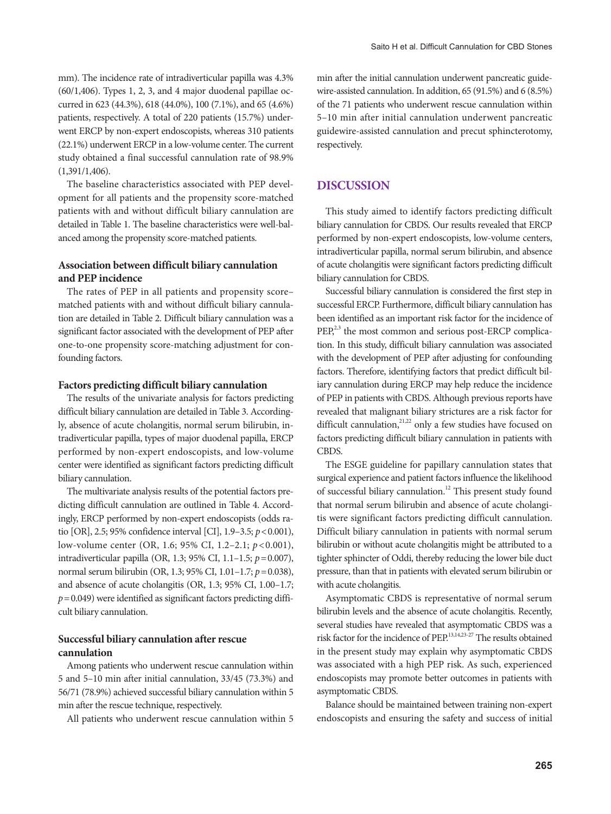mm). The incidence rate of intradiverticular papilla was 4.3% (60/1,406). Types 1, 2, 3, and 4 major duodenal papillae occurred in 623 (44.3%), 618 (44.0%), 100 (7.1%), and 65 (4.6%) patients, respectively. A total of 220 patients (15.7%) underwent ERCP by non-expert endoscopists, whereas 310 patients (22.1%) underwent ERCP in a low-volume center. The current study obtained a final successful cannulation rate of 98.9% (1,391/1,406).

The baseline characteristics associated with PEP development for all patients and the propensity score-matched patients with and without difficult biliary cannulation are detailed in Table 1. The baseline characteristics were well-balanced among the propensity score-matched patients.

## **Association between difficult biliary cannulation and PEP incidence**

The rates of PEP in all patients and propensity score– matched patients with and without difficult biliary cannulation are detailed in Table 2. Difficult biliary cannulation was a significant factor associated with the development of PEP after one-to-one propensity score-matching adjustment for confounding factors.

#### **Factors predicting difficult biliary cannulation**

The results of the univariate analysis for factors predicting difficult biliary cannulation are detailed in Table 3. Accordingly, absence of acute cholangitis, normal serum bilirubin, intradiverticular papilla, types of major duodenal papilla, ERCP performed by non-expert endoscopists, and low-volume center were identified as significant factors predicting difficult biliary cannulation.

The multivariate analysis results of the potential factors predicting difficult cannulation are outlined in Table 4. Accordingly, ERCP performed by non-expert endoscopists (odds ratio [OR], 2.5; 95% confidence interval [CI], 1.9–3.5; *p*<0.001), low-volume center (OR, 1.6; 95% CI, 1.2–2.1; *p*<0.001), intradiverticular papilla (OR, 1.3; 95% CI, 1.1–1.5; *p*=0.007), normal serum bilirubin (OR, 1.3; 95% CI, 1.01–1.7; *p*=0.038), and absence of acute cholangitis (OR, 1.3; 95% CI, 1.00–1.7;  $p=0.049$ ) were identified as significant factors predicting difficult biliary cannulation.

#### **Successful biliary cannulation after rescue cannulation**

Among patients who underwent rescue cannulation within 5 and 5–10 min after initial cannulation, 33/45 (73.3%) and 56/71 (78.9%) achieved successful biliary cannulation within 5 min after the rescue technique, respectively.

All patients who underwent rescue cannulation within 5

min after the initial cannulation underwent pancreatic guidewire-assisted cannulation. In addition, 65 (91.5%) and 6 (8.5%) of the 71 patients who underwent rescue cannulation within 5–10 min after initial cannulation underwent pancreatic guidewire-assisted cannulation and precut sphincterotomy, respectively.

## **DISCUSSION**

This study aimed to identify factors predicting difficult biliary cannulation for CBDS. Our results revealed that ERCP performed by non-expert endoscopists, low-volume centers, intradiverticular papilla, normal serum bilirubin, and absence of acute cholangitis were significant factors predicting difficult biliary cannulation for CBDS.

Successful biliary cannulation is considered the first step in successful ERCP. Furthermore, difficult biliary cannulation has been identified as an important risk factor for the incidence of  $PEP<sub>1</sub><sup>2,3</sup>$  the most common and serious post-ERCP complication. In this study, difficult biliary cannulation was associated with the development of PEP after adjusting for confounding factors. Therefore, identifying factors that predict difficult biliary cannulation during ERCP may help reduce the incidence of PEP in patients with CBDS. Although previous reports have revealed that malignant biliary strictures are a risk factor for difficult cannulation, $2^{1,22}$  only a few studies have focused on factors predicting difficult biliary cannulation in patients with CBDS.

The ESGE guideline for papillary cannulation states that surgical experience and patient factors influence the likelihood of successful biliary cannulation.<sup>12</sup> This present study found that normal serum bilirubin and absence of acute cholangitis were significant factors predicting difficult cannulation. Difficult biliary cannulation in patients with normal serum bilirubin or without acute cholangitis might be attributed to a tighter sphincter of Oddi, thereby reducing the lower bile duct pressure, than that in patients with elevated serum bilirubin or with acute cholangitis.

Asymptomatic CBDS is representative of normal serum bilirubin levels and the absence of acute cholangitis. Recently, several studies have revealed that asymptomatic CBDS was a risk factor for the incidence of PEP.<sup>13,14,23-27</sup> The results obtained in the present study may explain why asymptomatic CBDS was associated with a high PEP risk. As such, experienced endoscopists may promote better outcomes in patients with asymptomatic CBDS.

Balance should be maintained between training non-expert endoscopists and ensuring the safety and success of initial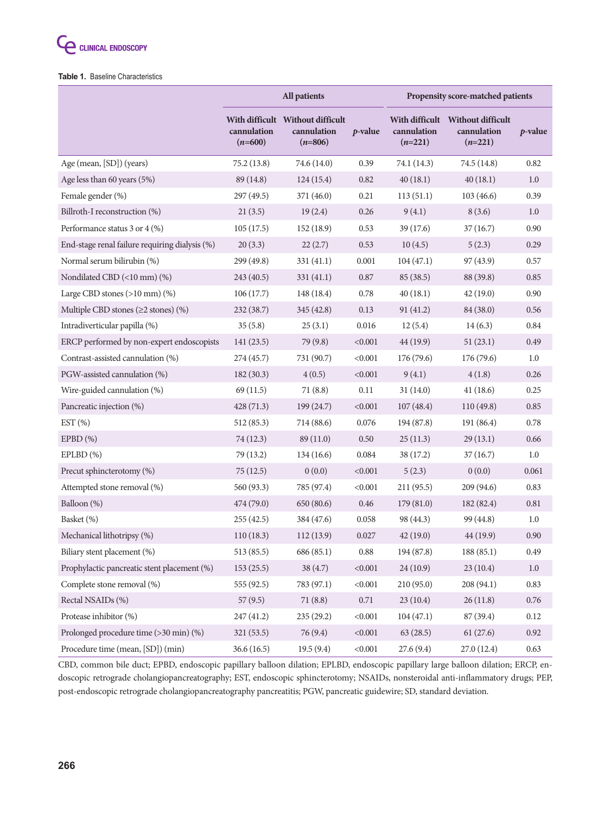#### **Table 1.** Baseline Characteristics

|                                                | All patients             |                                                              |            | Propensity score-matched patients |                          |                 |
|------------------------------------------------|--------------------------|--------------------------------------------------------------|------------|-----------------------------------|--------------------------|-----------------|
|                                                | cannulation<br>$(n=600)$ | With difficult Without difficult<br>cannulation<br>$(n=806)$ | $p$ -value | cannulation<br>$(n=221)$          | cannulation<br>$(n=221)$ | <i>p</i> -value |
| Age (mean, [SD]) (years)                       | 75.2(13.8)               | 74.6 (14.0)                                                  | 0.39       | 74.1 (14.3)                       | 74.5 (14.8)              | 0.82            |
| Age less than 60 years (5%)                    | 89 (14.8)                | 124(15.4)                                                    | 0.82       | 40(18.1)                          | 40(18.1)                 | 1.0             |
| Female gender (%)                              | 297 (49.5)               | 371 (46.0)                                                   | 0.21       | 113(51.1)                         | 103(46.6)                | 0.39            |
| Billroth-I reconstruction (%)                  | 21(3.5)                  | 19(2.4)                                                      | 0.26       | 9(4.1)                            | 8(3.6)                   | 1.0             |
| Performance status 3 or 4 (%)                  | 105(17.5)                | 152(18.9)                                                    | 0.53       | 39(17.6)                          | 37(16.7)                 | 0.90            |
| End-stage renal failure requiring dialysis (%) | 20(3.3)                  | 22(2.7)                                                      | 0.53       | 10(4.5)                           | 5(2.3)                   | 0.29            |
| Normal serum bilirubin (%)                     | 299 (49.8)               | 331(41.1)                                                    | 0.001      | 104(47.1)                         | 97(43.9)                 | 0.57            |
| Nondilated CBD (<10 mm) (%)                    | 243 (40.5)               | 331(41.1)                                                    | 0.87       | 85(38.5)                          | 88 (39.8)                | 0.85            |
| Large CBD stones $(>10$ mm $)$ $(\%)$          | 106(17.7)                | 148(18.4)                                                    | 0.78       | 40(18.1)                          | 42(19.0)                 | 0.90            |
| Multiple CBD stones ( $\geq$ 2 stones) (%)     | 232 (38.7)               | 345 (42.8)                                                   | 0.13       | 91(41.2)                          | 84 (38.0)                | 0.56            |
| Intradiverticular papilla (%)                  | 35(5.8)                  | 25(3.1)                                                      | 0.016      | 12(5.4)                           | 14(6.3)                  | 0.84            |
| ERCP performed by non-expert endoscopists      | 141(23.5)                | 79 (9.8)                                                     | < 0.001    | 44 (19.9)                         | 51(23.1)                 | 0.49            |
| Contrast-assisted cannulation (%)              | 274(45.7)                | 731 (90.7)                                                   | < 0.001    | 176(79.6)                         | 176 (79.6)               | 1.0             |
| PGW-assisted cannulation (%)                   | 182(30.3)                | 4(0.5)                                                       | < 0.001    | 9(4.1)                            | 4(1.8)                   | 0.26            |
| Wire-guided cannulation (%)                    | 69(11.5)                 | 71(8.8)                                                      | 0.11       | 31(14.0)                          | 41(18.6)                 | 0.25            |
| Pancreatic injection (%)                       | 428(71.3)                | 199 (24.7)                                                   | < 0.001    | 107(48.4)                         | 110 (49.8)               | 0.85            |
| EST $(\%)$                                     | 512 (85.3)               | 714 (88.6)                                                   | 0.076      | 194 (87.8)                        | 191 (86.4)               | 0.78            |
| $EPBD(\%)$                                     | 74 (12.3)                | 89(11.0)                                                     | 0.50       | 25(11.3)                          | 29(13.1)                 | 0.66            |
| EPLBD(%)                                       | 79 (13.2)                | 134(16.6)                                                    | 0.084      | 38(17.2)                          | 37(16.7)                 | 1.0             |
| Precut sphincterotomy (%)                      | 75(12.5)                 | 0(0.0)                                                       | < 0.001    | 5(2.3)                            | 0(0.0)                   | 0.061           |
| Attempted stone removal (%)                    | 560 (93.3)               | 785 (97.4)                                                   | < 0.001    | 211(95.5)                         | 209 (94.6)               | 0.83            |
| Balloon (%)                                    | 474 (79.0)               | 650 (80.6)                                                   | 0.46       | 179(81.0)                         | 182 (82.4)               | $0.81\,$        |
| Basket (%)                                     | 255(42.5)                | 384 (47.6)                                                   | 0.058      | 98 (44.3)                         | 99 (44.8)                | 1.0             |
| Mechanical lithotripsy (%)                     | 110(18.3)                | 112(13.9)                                                    | 0.027      | 42(19.0)                          | 44 (19.9)                | 0.90            |
| Biliary stent placement (%)                    | 513 (85.5)               | 686 (85.1)                                                   | $\rm 0.88$ | 194 (87.8)                        | 188 (85.1)               | 0.49            |
| Prophylactic pancreatic stent placement (%)    | 153(25.5)                | 38 (4.7)                                                     | < 0.001    | 24 (10.9)                         | 23(10.4)                 | 1.0             |
| Complete stone removal (%)                     | 555 (92.5)               | 783 (97.1)                                                   | < 0.001    | 210(95.0)                         | 208 (94.1)               | 0.83            |
| Rectal NSAIDs (%)                              | 57(9.5)                  | 71(8.8)                                                      | $0.71\,$   | 23(10.4)                          | 26(11.8)                 | 0.76            |
| Protease inhibitor (%)                         | 247 (41.2)               | 235(29.2)                                                    | < 0.001    | 104(47.1)                         | 87(39.4)                 | 0.12            |
| Prolonged procedure time (>30 min) (%)         | 321(53.5)                | 76 (9.4)                                                     | < 0.001    | 63 (28.5)                         | 61(27.6)                 | $0.92\,$        |
| Procedure time (mean, [SD]) (min)              | 36.6(16.5)               | 19.5(9.4)                                                    | < 0.001    | 27.6(9.4)                         | 27.0 (12.4)              | 0.63            |

CBD, common bile duct; EPBD, endoscopic papillary balloon dilation; EPLBD, endoscopic papillary large balloon dilation; ERCP, endoscopic retrograde cholangiopancreatography; EST, endoscopic sphincterotomy; NSAIDs, nonsteroidal anti-inflammatory drugs; PEP, post-endoscopic retrograde cholangiopancreatography pancreatitis; PGW, pancreatic guidewire; SD, standard deviation.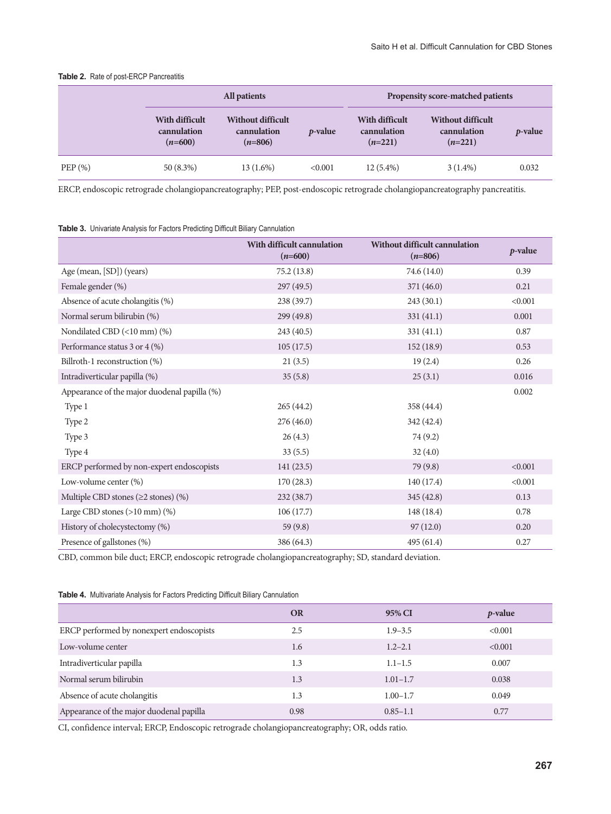#### **Table 2.** Rate of post-ERCP Pancreatitis

|           | All patients                               |                                                      |                 | <b>Propensity score-matched patients</b>   |                                                      |                 |  |
|-----------|--------------------------------------------|------------------------------------------------------|-----------------|--------------------------------------------|------------------------------------------------------|-----------------|--|
|           | With difficult<br>cannulation<br>$(n=600)$ | <b>Without difficult</b><br>cannulation<br>$(n=806)$ | <i>p</i> -value | With difficult<br>cannulation<br>$(n=221)$ | <b>Without difficult</b><br>cannulation<br>$(n=221)$ | <i>p</i> -value |  |
| $PEP(\%)$ | $50(8.3\%)$                                | 13 (1.6%)                                            | < 0.001         | $12(5.4\%)$                                | $3(1.4\%)$                                           | 0.032           |  |

ERCP, endoscopic retrograde cholangiopancreatography; PEP, post-endoscopic retrograde cholangiopancreatography pancreatitis.

**Table 3.** Univariate Analysis for Factors Predicting Difficult Biliary Cannulation

|                                              | With difficult cannulation<br>$(n=600)$ | <b>Without difficult cannulation</b><br>$(n=806)$ | $p$ -value |
|----------------------------------------------|-----------------------------------------|---------------------------------------------------|------------|
| Age (mean, [SD]) (years)                     | 75.2 (13.8)                             | 74.6 (14.0)                                       | 0.39       |
| Female gender (%)                            | 297(49.5)                               | 371 (46.0)                                        | 0.21       |
| Absence of acute cholangitis (%)             | 238 (39.7)                              | 243 (30.1)                                        | < 0.001    |
| Normal serum bilirubin (%)                   | 299 (49.8)                              | 331(41.1)                                         | 0.001      |
| Nondilated CBD (<10 mm) (%)                  | 243 (40.5)                              | 331(41.1)                                         | 0.87       |
| Performance status 3 or 4 (%)                | 105(17.5)                               | 152(18.9)                                         | 0.53       |
| Billroth-1 reconstruction (%)                | 21(3.5)                                 | 19(2.4)                                           | 0.26       |
| Intradiverticular papilla (%)                | 35(5.8)                                 | 25(3.1)                                           | 0.016      |
| Appearance of the major duodenal papilla (%) |                                         |                                                   | 0.002      |
| Type 1                                       | 265(44.2)                               | 358 (44.4)                                        |            |
| Type 2                                       | 276(46.0)                               | 342 (42.4)                                        |            |
| Type 3                                       | 26(4.3)                                 | 74 (9.2)                                          |            |
| Type 4                                       | 33(5.5)                                 | 32(4.0)                                           |            |
| ERCP performed by non-expert endoscopists    | 141(23.5)                               | 79 (9.8)                                          | < 0.001    |
| Low-volume center (%)                        | 170(28.3)                               | 140 (17.4)                                        | < 0.001    |
| Multiple CBD stones ( $\geq$ 2 stones) (%)   | 232(38.7)                               | 345 (42.8)                                        | 0.13       |
| Large CBD stones $(>10$ mm $)$ $(\%)$        | 106(17.7)                               | 148 (18.4)                                        | 0.78       |
| History of cholecystectomy (%)               | 59(9.8)                                 | 97(12.0)                                          | 0.20       |
| Presence of gallstones (%)                   | 386 (64.3)                              | 495 (61.4)                                        | 0.27       |

CBD, common bile duct; ERCP, endoscopic retrograde cholangiopancreatography; SD, standard deviation.

**Table 4.** Multivariate Analysis for Factors Predicting Difficult Biliary Cannulation

|                                          | <b>OR</b> | 95% CI       | $p$ -value |
|------------------------------------------|-----------|--------------|------------|
| ERCP performed by nonexpert endoscopists | 2.5       | $1.9 - 3.5$  | < 0.001    |
| Low-volume center                        | 1.6       | $1.2 - 2.1$  | < 0.001    |
| Intradiverticular papilla                | 1.3       | $1.1 - 1.5$  | 0.007      |
| Normal serum bilirubin                   | 1.3       | $1.01 - 1.7$ | 0.038      |
| Absence of acute cholangitis             | 1.3       | $1.00 - 1.7$ | 0.049      |
| Appearance of the major duodenal papilla | 0.98      | $0.85 - 1.1$ | 0.77       |

CI, confidence interval; ERCP, Endoscopic retrograde cholangiopancreatography; OR, odds ratio.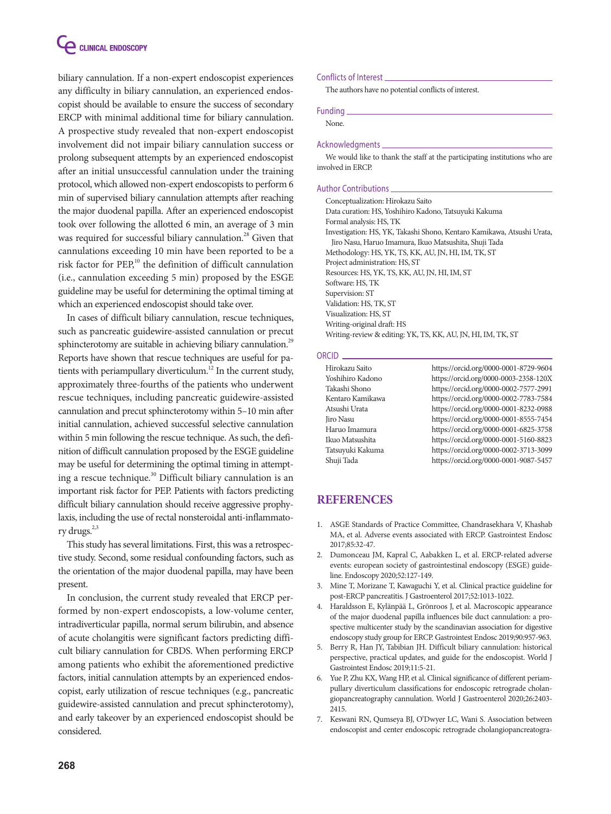

biliary cannulation. If a non-expert endoscopist experiences any difficulty in biliary cannulation, an experienced endoscopist should be available to ensure the success of secondary ERCP with minimal additional time for biliary cannulation. A prospective study revealed that non-expert endoscopist involvement did not impair biliary cannulation success or prolong subsequent attempts by an experienced endoscopist after an initial unsuccessful cannulation under the training protocol, which allowed non-expert endoscopists to perform 6 min of supervised biliary cannulation attempts after reaching the major duodenal papilla. After an experienced endoscopist took over following the allotted 6 min, an average of 3 min was required for successful biliary cannulation.<sup>28</sup> Given that cannulations exceeding 10 min have been reported to be a risk factor for PEP,<sup>10</sup> the definition of difficult cannulation (i.e., cannulation exceeding 5 min) proposed by the ESGE guideline may be useful for determining the optimal timing at which an experienced endoscopist should take over.

In cases of difficult biliary cannulation, rescue techniques, such as pancreatic guidewire-assisted cannulation or precut sphincterotomy are suitable in achieving biliary cannulation.<sup>29</sup> Reports have shown that rescue techniques are useful for patients with periampullary diverticulum.<sup>12</sup> In the current study, approximately three-fourths of the patients who underwent rescue techniques, including pancreatic guidewire-assisted cannulation and precut sphincterotomy within 5–10 min after initial cannulation, achieved successful selective cannulation within 5 min following the rescue technique. As such, the definition of difficult cannulation proposed by the ESGE guideline may be useful for determining the optimal timing in attempting a rescue technique.<sup>30</sup> Difficult biliary cannulation is an important risk factor for PEP. Patients with factors predicting difficult biliary cannulation should receive aggressive prophylaxis, including the use of rectal nonsteroidal anti-inflammatory drugs.<sup>2,3</sup>

This study has several limitations. First, this was a retrospective study. Second, some residual confounding factors, such as the orientation of the major duodenal papilla, may have been present.

In conclusion, the current study revealed that ERCP performed by non-expert endoscopists, a low-volume center, intradiverticular papilla, normal serum bilirubin, and absence of acute cholangitis were significant factors predicting difficult biliary cannulation for CBDS. When performing ERCP among patients who exhibit the aforementioned predictive factors, initial cannulation attempts by an experienced endoscopist, early utilization of rescue techniques (e.g., pancreatic guidewire-assisted cannulation and precut sphincterotomy), and early takeover by an experienced endoscopist should be considered.

#### Conflicts of Interest

The authors have no potential conflicts of interest.

#### Funding

None.

#### Acknowledgments

We would like to thank the staff at the participating institutions who are involved in ERCP.

#### Author Contributions

Conceptualization: Hirokazu Saito Data curation: HS, Yoshihiro Kadono, Tatsuyuki Kakuma Formal analysis: HS, TK Investigation: HS, YK, Takashi Shono, Kentaro Kamikawa, Atsushi Urata, Jiro Nasu, Haruo Imamura, Ikuo Matsushita, Shuji Tada Methodology: HS, YK, TS, KK, AU, JN, HI, IM, TK, ST Project administration: HS, ST Resources: HS, YK, TS, KK, AU, JN, HI, IM, ST Software: HS, TK Supervision: ST Validation: HS, TK, ST Visualization: HS, ST Writing-original draft: HS Writing-review & editing: YK, TS, KK, AU, JN, HI, IM, TK, ST

#### ORCID.

| Hirokazu Saito   | https://orcid.org/0000-0001-8729-9604 |
|------------------|---------------------------------------|
| Yoshihiro Kadono | https://orcid.org/0000-0003-2358-120X |
| Takashi Shono    | https://orcid.org/0000-0002-7577-2991 |
| Kentaro Kamikawa | https://orcid.org/0000-0002-7783-7584 |
| Atsushi Urata    | https://orcid.org/0000-0001-8232-0988 |
| <b>Jiro Nasu</b> | https://orcid.org/0000-0001-8555-7454 |
| Haruo Imamura    | https://orcid.org/0000-0001-6825-3758 |
| Ikuo Matsushita  | https://orcid.org/0000-0001-5160-8823 |
| Tatsuvuki Kakuma | https://orcid.org/0000-0002-3713-3099 |
| Shuji Tada       | https://orcid.org/0000-0001-9087-5457 |
|                  |                                       |

#### **REFERENCES**

- 1. ASGE Standards of Practice Committee, Chandrasekhara V, Khashab MA, et al. Adverse events associated with ERCP. Gastrointest Endosc 2017;85:32-47.
- 2. Dumonceau JM, Kapral C, Aabakken L, et al. ERCP-related adverse events: european society of gastrointestinal endoscopy (ESGE) guideline. Endoscopy 2020;52:127-149.
- 3. Mine T, Morizane T, Kawaguchi Y, et al. Clinical practice guideline for post-ERCP pancreatitis. J Gastroenterol 2017;52:1013-1022.
- 4. Haraldsson E, Kylänpää L, Grönroos J, et al. Macroscopic appearance of the major duodenal papilla influences bile duct cannulation: a prospective multicenter study by the scandinavian association for digestive endoscopy study group for ERCP. Gastrointest Endosc 2019;90:957-963.
- 5. Berry R, Han JY, Tabibian JH. Difficult biliary cannulation: historical perspective, practical updates, and guide for the endoscopist. World J Gastrointest Endosc 2019;11:5-21.
- 6. Yue P, Zhu KX, Wang HP, et al. Clinical significance of different periampullary diverticulum classifications for endoscopic retrograde cholangiopancreatography cannulation. World J Gastroenterol 2020;26:2403- 2415.
- 7. Keswani RN, Qumseya BJ, O'Dwyer LC, Wani S. Association between endoscopist and center endoscopic retrograde cholangiopancreatogra-